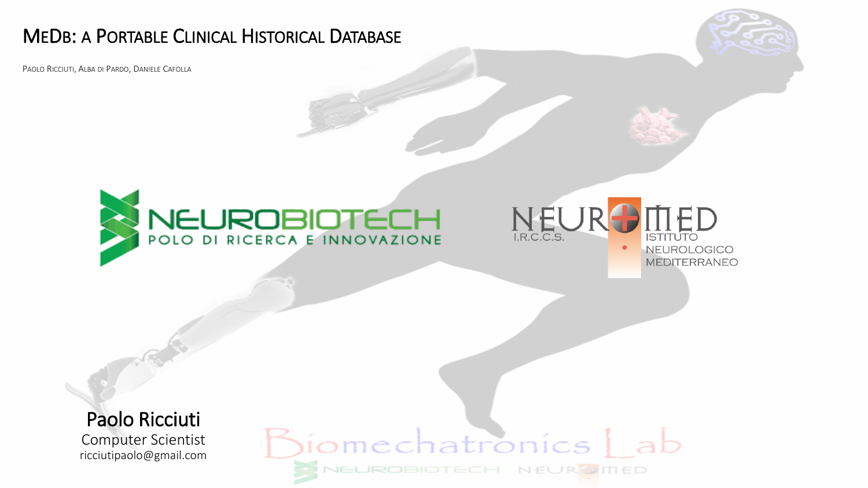#### MEDB: A PORTABLE CLINICAL HISTORICAL DATABASE

PAOLO RICCIUTI, ALBA DI PARDO, DANIELE CAFOLLA







MEDITERRANEO

Paolo Ricciuti

Computer Scientist ricciutipaolo@gmail.com

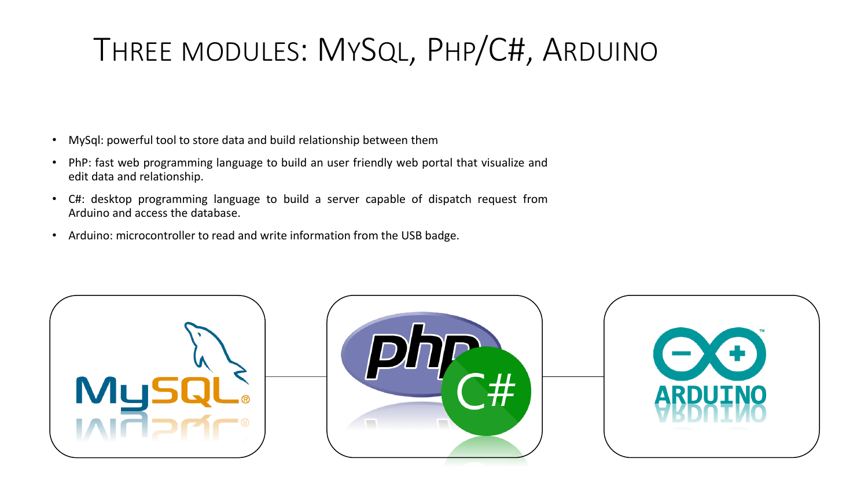# THREE MODULES: MYSQL, PHP/C#, ARDUINO

- MySql: powerful tool to store data and build relationship between them
- PhP: fast web programming language to build an user friendly web portal that visualize and edit data and relationship.
- C#: desktop programming language to build a server capable of dispatch request from Arduino and access the database.
- Arduino: microcontroller to read and write information from the USB badge.

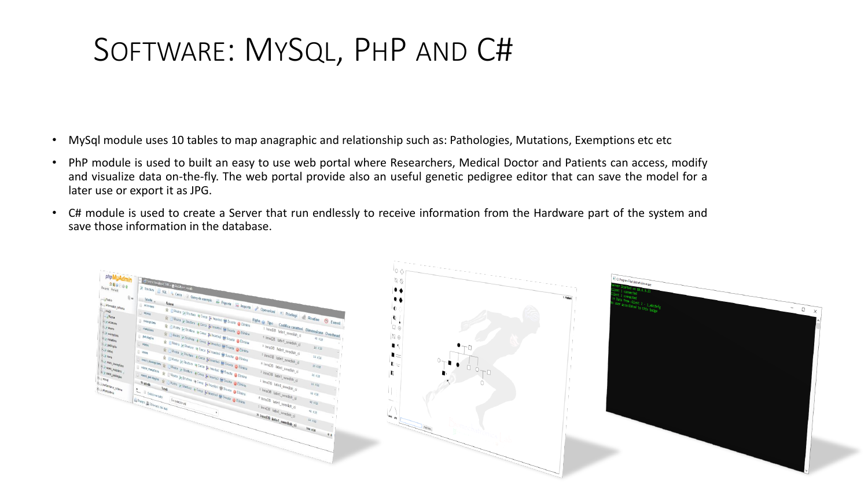### SOFTWARE: MYSQL, PHP AND C#

- MySql module uses 10 tables to map anagraphic and relationship such as: Pathologies, Mutations, Exemptions etc etc
- PhP module is used to built an easy to use web portal where Researchers, Medical Doctor and Patients can access, modify and visualize data on-the-fly. The web portal provide also an useful genetic pedigree editor that can save the model for a later use or export it as JPG.
- C# module is used to create a Server that run endlessly to receive information from the Hardware part of the system and save those information in the database.

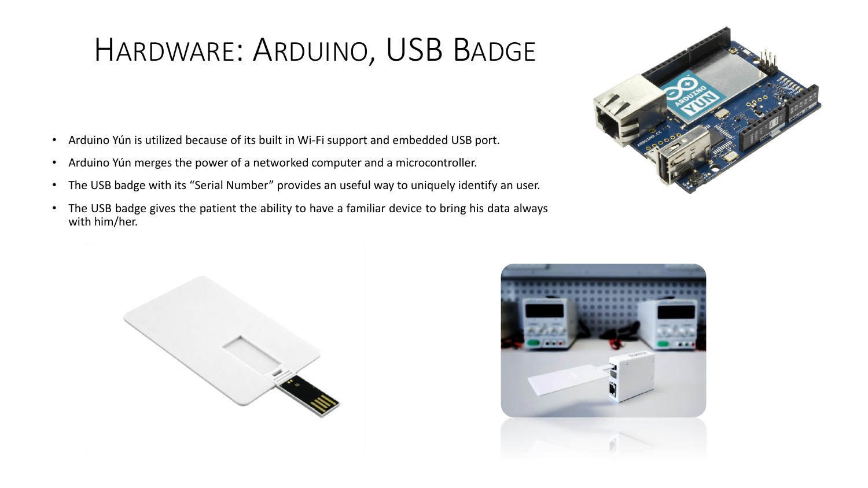## HARDWARE: ARDUINO, USB BADGE

- Arduino Yún is utilized because of its built in Wi-Fi support and embedded USB port.
- Arduino Yún merges the power of a networked computer and a microcontroller.
- The USB badge with its "Serial Number" provides an useful way to uniquely identify an user.
- The USB badge gives the patient the ability to have a familiar device to bring his data always with him/her.